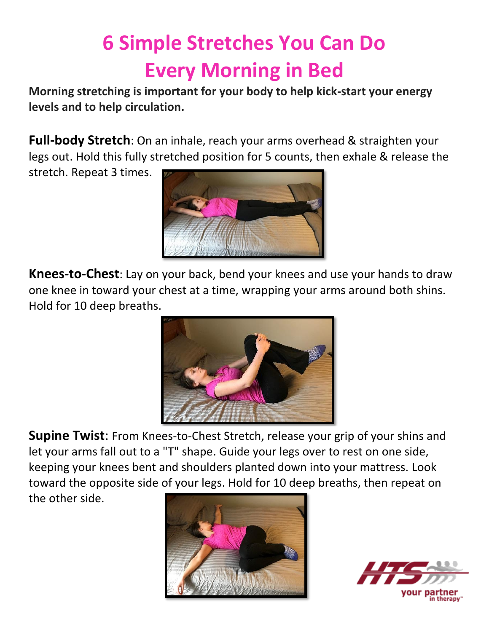## **6 Simple Stretches You Can Do Every Morning in Bed**

**Morning stretching is important for your body to help kick-start your energy levels and to help circulation.**

**Full-body Stretch**: On an inhale, reach your arms overhead & straighten your legs out. Hold this fully stretched position for 5 counts, then exhale & release the

stretch. Repeat 3 times.



**Knees-to-Chest**: Lay on your back, bend your knees and use your hands to draw one knee in toward your chest at a time, wrapping your arms around both shins. Hold for 10 deep breaths.



**Supine Twist**: From Knees-to-Chest Stretch, release your grip of your shins and let your arms fall out to a "T" shape. Guide your legs over to rest on one side, keeping your knees bent and shoulders planted down into your mattress. Look toward the opposite side of your legs. Hold for 10 deep breaths, then repeat on the other side.